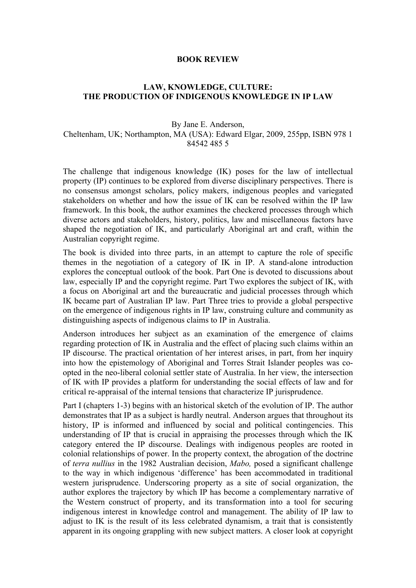## **BOOK REVIEW**

## **LAW, KNOWLEDGE, CULTURE: THE PRODUCTION OF INDIGENOUS KNOWLEDGE IN IP LAW**

## By Jane E. Anderson,

Cheltenham, UK; Northampton, MA (USA): Edward Elgar, 2009, 255pp, ISBN 978 1 84542 485 5

The challenge that indigenous knowledge (IK) poses for the law of intellectual property (IP) continues to be explored from diverse disciplinary perspectives. There is no consensus amongst scholars, policy makers, indigenous peoples and variegated stakeholders on whether and how the issue of IK can be resolved within the IP law framework. In this book, the author examines the checkered processes through which diverse actors and stakeholders, history, politics, law and miscellaneous factors have shaped the negotiation of IK, and particularly Aboriginal art and craft, within the Australian copyright regime.

The book is divided into three parts, in an attempt to capture the role of specific themes in the negotiation of a category of IK in IP. A stand-alone introduction explores the conceptual outlook of the book. Part One is devoted to discussions about law, especially IP and the copyright regime. Part Two explores the subject of IK, with a focus on Aboriginal art and the bureaucratic and judicial processes through which IK became part of Australian IP law. Part Three tries to provide a global perspective on the emergence of indigenous rights in IP law, construing culture and community as distinguishing aspects of indigenous claims to IP in Australia.

Anderson introduces her subject as an examination of the emergence of claims regarding protection of IK in Australia and the effect of placing such claims within an IP discourse. The practical orientation of her interest arises, in part, from her inquiry into how the epistemology of Aboriginal and Torres Strait Islander peoples was coopted in the neo-liberal colonial settler state of Australia. In her view, the intersection of IK with IP provides a platform for understanding the social effects of law and for critical re-appraisal of the internal tensions that characterize IP jurisprudence.

Part I (chapters 1-3) begins with an historical sketch of the evolution of IP. The author demonstrates that IP as a subject is hardly neutral. Anderson argues that throughout its history. IP is informed and influenced by social and political contingencies. This understanding of IP that is crucial in appraising the processes through which the IK category entered the IP discourse. Dealings with indigenous peoples are rooted in colonial relationships of power. In the property context, the abrogation of the doctrine of *terra nullius* in the 1982 Australian decision, *Mabo,* posed a significant challenge to the way in which indigenous 'difference' has been accommodated in traditional western jurisprudence. Underscoring property as a site of social organization, the author explores the trajectory by which IP has become a complementary narrative of the Western construct of property, and its transformation into a tool for securing indigenous interest in knowledge control and management. The ability of IP law to adjust to IK is the result of its less celebrated dynamism, a trait that is consistently apparent in its ongoing grappling with new subject matters. A closer look at copyright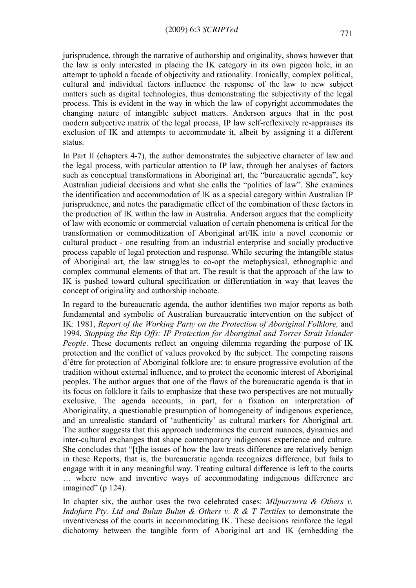jurisprudence, through the narrative of authorship and originality, shows however that the law is only interested in placing the IK category in its own pigeon hole, in an attempt to uphold a facade of objectivity and rationality. Ironically, complex political, cultural and individual factors influence the response of the law to new subject matters such as digital technologies, thus demonstrating the subjectivity of the legal process. This is evident in the way in which the law of copyright accommodates the changing nature of intangible subject matters. Anderson argues that in the post modern subjective matrix of the legal process, IP law self-reflexively re-appraises its exclusion of IK and attempts to accommodate it, albeit by assigning it a different status.

In Part II (chapters 4-7), the author demonstrates the subjective character of law and the legal process, with particular attention to IP law, through her analyses of factors such as conceptual transformations in Aboriginal art, the "bureaucratic agenda", key Australian judicial decisions and what she calls the "politics of law". She examines the identification and accommodation of IK as a special category within Australian IP jurisprudence, and notes the paradigmatic effect of the combination of these factors in the production of IK within the law in Australia. Anderson argues that the complicity of law with economic or commercial valuation of certain phenomena is critical for the transformation or commoditization of Aboriginal art/IK into a novel economic or cultural product - one resulting from an industrial enterprise and socially productive process capable of legal protection and response. While securing the intangible status of Aboriginal art, the law struggles to co-opt the metaphysical, ethnographic and complex communal elements of that art. The result is that the approach of the law to IK is pushed toward cultural specification or differentiation in way that leaves the concept of originality and authorship inchoate.

In regard to the bureaucratic agenda, the author identifies two major reports as both fundamental and symbolic of Australian bureaucratic intervention on the subject of IK: 1981, *Report of the Working Party on the Protection of Aboriginal Folklore,* and 1994, *Stopping the Rip Offs: IP Protection for Aboriginal and Torres Strait Islander People*. These documents reflect an ongoing dilemma regarding the purpose of IK protection and the conflict of values provoked by the subject. The competing raisons d'être for protection of Aboriginal folklore are: to ensure progressive evolution of the tradition without external influence, and to protect the economic interest of Aboriginal peoples. The author argues that one of the flaws of the bureaucratic agenda is that in its focus on folklore it fails to emphasize that these two perspectives are not mutually exclusive. The agenda accounts, in part, for a fixation on interpretation of Aboriginality, a questionable presumption of homogeneity of indigenous experience, and an unrealistic standard of 'authenticity' as cultural markers for Aboriginal art. The author suggests that this approach undermines the current nuances, dynamics and inter-cultural exchanges that shape contemporary indigenous experience and culture. She concludes that "[t]he issues of how the law treats difference are relatively benign in these Reports, that is, the bureaucratic agenda recognizes difference, but fails to engage with it in any meaningful way. Treating cultural difference is left to the courts … where new and inventive ways of accommodating indigenous difference are imagined" (p 124).

In chapter six, the author uses the two celebrated cases: *Milpurrurru & Others v. Indofurn Pty. Ltd and Bulun Bulun & Others v. R & T Textiles* to demonstrate the inventiveness of the courts in accommodating IK. These decisions reinforce the legal dichotomy between the tangible form of Aboriginal art and IK (embedding the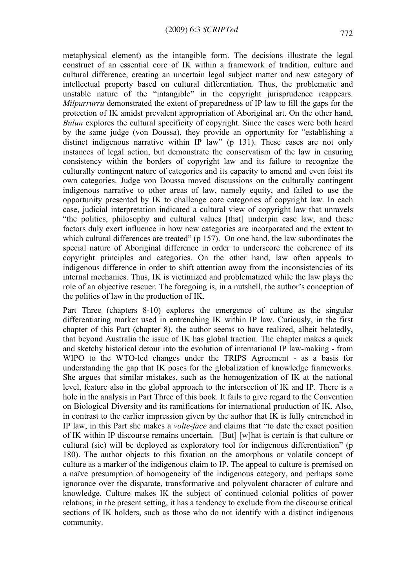metaphysical element) as the intangible form. The decisions illustrate the legal construct of an essential core of IK within a framework of tradition, culture and cultural difference, creating an uncertain legal subject matter and new category of intellectual property based on cultural differentiation. Thus, the problematic and unstable nature of the "intangible" in the copyright jurisprudence reappears. *Milpurrurru* demonstrated the extent of preparedness of IP law to fill the gaps for the protection of IK amidst prevalent appropriation of Aboriginal art. On the other hand, *Bulun* explores the cultural specificity of copyright. Since the cases were both heard by the same judge (von Doussa), they provide an opportunity for "establishing a distinct indigenous narrative within IP law" (p 131). These cases are not only instances of legal action, but demonstrate the conservatism of the law in ensuring consistency within the borders of copyright law and its failure to recognize the culturally contingent nature of categories and its capacity to amend and even foist its own categories. Judge von Doussa moved discussions on the culturally contingent indigenous narrative to other areas of law, namely equity, and failed to use the opportunity presented by IK to challenge core categories of copyright law. In each case, judicial interpretation indicated a cultural view of copyright law that unravels "the politics, philosophy and cultural values [that] underpin case law, and these factors duly exert influence in how new categories are incorporated and the extent to which cultural differences are treated" (p 157). On one hand, the law subordinates the special nature of Aboriginal difference in order to underscore the coherence of its copyright principles and categories. On the other hand, law often appeals to indigenous difference in order to shift attention away from the inconsistencies of its internal mechanics. Thus, IK is victimized and problematized while the law plays the role of an objective rescuer. The foregoing is, in a nutshell, the author's conception of the politics of law in the production of IK.

Part Three (chapters 8-10) explores the emergence of culture as the singular differentiating marker used in entrenching IK within IP law. Curiously, in the first chapter of this Part (chapter 8), the author seems to have realized, albeit belatedly, that beyond Australia the issue of IK has global traction. The chapter makes a quick and sketchy historical detour into the evolution of international IP law-making - from WIPO to the WTO-led changes under the TRIPS Agreement - as a basis for understanding the gap that IK poses for the globalization of knowledge frameworks. She argues that similar mistakes, such as the homogenization of IK at the national level, feature also in the global approach to the intersection of IK and IP. There is a hole in the analysis in Part Three of this book. It fails to give regard to the Convention on Biological Diversity and its ramifications for international production of IK. Also, in contrast to the earlier impression given by the author that IK is fully entrenched in IP law, in this Part she makes a *volte-face* and claims that "to date the exact position of IK within IP discourse remains uncertain. [But] [w]hat is certain is that culture or cultural (sic) will be deployed as exploratory tool for indigenous differentiation" (p 180). The author objects to this fixation on the amorphous or volatile concept of culture as a marker of the indigenous claim to IP. The appeal to culture is premised on a naïve presumption of homogeneity of the indigenous category, and perhaps some ignorance over the disparate, transformative and polyvalent character of culture and knowledge. Culture makes IK the subject of continued colonial politics of power relations; in the present setting, it has a tendency to exclude from the discourse critical sections of IK holders, such as those who do not identify with a distinct indigenous community.